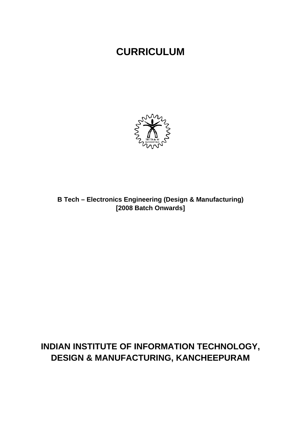# **CURRICULUM**



B Tech - Electronics Engineering (Design & Manufacturing) [2008 Batch Onwards]

# INDIAN INSTITUTE OF INFORMATION TECHNOLOGY, **DESIGN & MANUFACTURING, KANCHEEPURAM**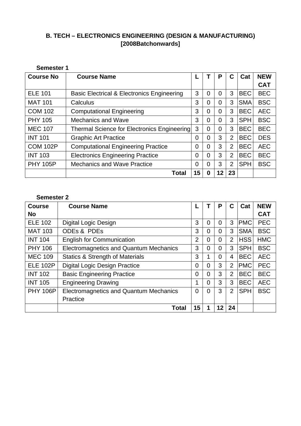# **B. TECH – ELECTRONICS ENGINEERING (DESIGN & MANUFACTURING) [2008Batchonwards]**

| <b>Semester 1</b> |                                                       |                |                |                |                |            |            |  |  |  |
|-------------------|-------------------------------------------------------|----------------|----------------|----------------|----------------|------------|------------|--|--|--|
| <b>Course No</b>  | <b>Course Name</b>                                    |                |                | P              | С              | Cat        | <b>NEW</b> |  |  |  |
|                   |                                                       |                |                |                |                |            | <b>CAT</b> |  |  |  |
| <b>ELE 101</b>    | <b>Basic Electrical &amp; Electronics Engineering</b> | 3              | $\overline{0}$ | 0              | 3              | <b>BEC</b> | <b>BEC</b> |  |  |  |
| <b>MAT 101</b>    | Calculus                                              | 3              | 0              | $\overline{0}$ | 3              | <b>SMA</b> | <b>BSC</b> |  |  |  |
| <b>COM 102</b>    | <b>Computational Engineering</b>                      | 3              | $\overline{0}$ | $\overline{0}$ | 3              | <b>BEC</b> | <b>AEC</b> |  |  |  |
| <b>PHY 105</b>    | <b>Mechanics and Wave</b>                             | 3              | 0              | 0              | 3              | <b>SPH</b> | <b>BSC</b> |  |  |  |
| <b>MEC 107</b>    | Thermal Science for Electronics Engineering           | 3              | 0              | 0              | 3              | <b>BEC</b> | <b>BEC</b> |  |  |  |
| <b>INT 101</b>    | <b>Graphic Art Practice</b>                           | 0              | $\overline{0}$ | 3              | $\overline{2}$ | <b>BEC</b> | <b>DES</b> |  |  |  |
| <b>COM 102P</b>   | <b>Computational Engineering Practice</b>             | $\overline{0}$ | $\overline{0}$ | 3              | $\overline{2}$ | <b>BEC</b> | <b>AEC</b> |  |  |  |
| <b>INT 103</b>    | <b>Electronics Engineering Practice</b>               | 0              | $\overline{0}$ | 3              | 2              | <b>BEC</b> | <b>BEC</b> |  |  |  |
| <b>PHY 105P</b>   | <b>Mechanics and Wave Practice</b>                    | 0              | 0              | 3              | $\overline{2}$ | <b>SPH</b> | <b>BSC</b> |  |  |  |
|                   | Total                                                 | 15             | 0              | 12             | 23             |            |            |  |  |  |

# **Semester 2**

| <b>Course</b>   | <b>Course Name</b>                            |                |                | P              | C              | Cat        | <b>NEW</b> |
|-----------------|-----------------------------------------------|----------------|----------------|----------------|----------------|------------|------------|
| <b>No</b>       |                                               |                |                |                |                |            | <b>CAT</b> |
| <b>ELE 102</b>  | <b>Digital Logic Design</b>                   | 3              | 0              | $\overline{0}$ | 3              | <b>PMC</b> | <b>PEC</b> |
| <b>MAT 103</b>  | ODEs & PDEs                                   | 3              | 0              | 0              | 3              | <b>SMA</b> | <b>BSC</b> |
| <b>INT 104</b>  | <b>English for Communication</b>              | $\overline{2}$ | 0              | $\overline{0}$ | $\overline{2}$ | <b>HSS</b> | <b>HMC</b> |
| <b>PHY 106</b>  | <b>Electromagnetics and Quantum Mechanics</b> | 3              | 0              | $\overline{0}$ | 3              | <b>SPH</b> | <b>BSC</b> |
| <b>MEC 109</b>  | <b>Statics &amp; Strength of Materials</b>    | 3              |                | $\overline{0}$ | 4              | <b>BEC</b> | <b>AEC</b> |
| <b>ELE 102P</b> | <b>Digital Logic Design Practice</b>          | $\overline{0}$ | 0              | 3              | $\overline{2}$ | <b>PMC</b> | <b>PEC</b> |
| <b>INT 102</b>  | <b>Basic Engineering Practice</b>             | 0              | 0              | 3              | $\overline{2}$ | <b>BEC</b> | <b>BEC</b> |
| <b>INT 105</b>  | <b>Engineering Drawing</b>                    | 1              | 0              | 3              | 3              | <b>BEC</b> | <b>AEC</b> |
| <b>PHY 106P</b> | <b>Electromagnetics and Quantum Mechanics</b> | $\overline{0}$ | $\overline{0}$ | 3              | $\overline{2}$ | <b>SPH</b> | <b>BSC</b> |
|                 | Practice                                      |                |                |                |                |            |            |
|                 | <b>Total</b>                                  | 15             |                | 12             | 24             |            |            |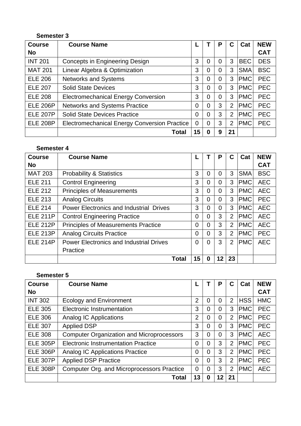# **Semester 3**

| <b>Course</b>   | <b>Course Name</b>                                  |    |                | P              | С              | Cat        | <b>NEW</b> |
|-----------------|-----------------------------------------------------|----|----------------|----------------|----------------|------------|------------|
| <b>No</b>       |                                                     |    |                |                |                |            | <b>CAT</b> |
| <b>INT 201</b>  | <b>Concepts in Engineering Design</b>               | 3  | 0              | $\overline{0}$ | 3              | <b>BEC</b> | <b>DES</b> |
| <b>MAT 201</b>  | Linear Algebra & Optimization                       | 3  | 0              | 0              | 3              | <b>SMA</b> | <b>BSC</b> |
| <b>ELE 206</b>  | <b>Networks and Systems</b>                         | 3  | 0              | 0              | 3              | <b>PMC</b> | <b>PEC</b> |
| <b>ELE 207</b>  | <b>Solid State Devices</b>                          | 3  | $\overline{0}$ | 0              | 3              | <b>PMC</b> | <b>PEC</b> |
| <b>ELE 208</b>  | <b>Electromechanical Energy Conversion</b>          | 3  | 0              | 0              | 3              | <b>PMC</b> | <b>PEC</b> |
| <b>ELE 206P</b> | Networks and Systems Practice                       | 0  | 0              | 3              | $\overline{2}$ | <b>PMC</b> | <b>PEC</b> |
| <b>ELE 207P</b> | <b>Solid State Devices Practice</b>                 | 0  | $\overline{0}$ | 3              | $\overline{2}$ | <b>PMC</b> | <b>PEC</b> |
| <b>ELE 208P</b> | <b>Electromechanical Energy Conversion Practice</b> | 0  | $\Omega$       | 3              | $\overline{2}$ | <b>PMC</b> | <b>PEC</b> |
|                 | Total                                               | 15 | 0              | 9              | 21             |            |            |

# **Semester 4**

| <b>Course</b>   | <b>Course Name</b>                             |                |                | P              | C              | Cat        | <b>NEW</b> |
|-----------------|------------------------------------------------|----------------|----------------|----------------|----------------|------------|------------|
| <b>No</b>       |                                                |                |                |                |                |            | <b>CAT</b> |
| <b>MAT 203</b>  | <b>Probability &amp; Statistics</b>            | 3              | 0              | $\overline{0}$ | 3              | <b>SMA</b> | <b>BSC</b> |
| <b>ELE 211</b>  | <b>Control Engineering</b>                     | 3              | $\overline{0}$ | $\Omega$       | 3              | <b>PMC</b> | <b>AEC</b> |
| <b>ELE 212</b>  | <b>Principles of Measurements</b>              | 3              | $\overline{0}$ | $\overline{0}$ | 3              | <b>PMC</b> | <b>AEC</b> |
| <b>ELE 213</b>  | <b>Analog Circuits</b>                         | 3              | $\overline{0}$ | $\overline{0}$ | 3              | <b>PMC</b> | <b>PEC</b> |
| <b>ELE 214</b>  | <b>Power Electronics and Industrial Drives</b> | 3              | $\overline{0}$ | $\overline{0}$ | 3              | <b>PMC</b> | <b>AEC</b> |
| <b>ELE 211P</b> | <b>Control Engineering Practice</b>            | $\overline{0}$ | $\overline{0}$ | 3              | $\overline{2}$ | <b>PMC</b> | <b>AEC</b> |
| <b>ELE 212P</b> | <b>Principles of Measurements Practice</b>     | 0              | $\overline{0}$ | 3              | $\overline{2}$ | <b>PMC</b> | <b>AEC</b> |
| <b>ELE 213P</b> | <b>Analog Circuits Practice</b>                | $\overline{0}$ | $\Omega$       | 3              | $\overline{2}$ | <b>PMC</b> | <b>PEC</b> |
| <b>ELE 214P</b> | <b>Power Electronics and Industrial Drives</b> | $\overline{0}$ | $\overline{0}$ | 3              | $\overline{2}$ | <b>PMC</b> | <b>AEC</b> |
|                 | Practice                                       |                |                |                |                |            |            |
|                 | Total                                          | 15             | 0              | 12             | 23             |            |            |

# **Semester 5**

| <b>Course</b>   | <b>Course Name</b>                               |                |                | P              | С              | Cat        | <b>NEW</b> |
|-----------------|--------------------------------------------------|----------------|----------------|----------------|----------------|------------|------------|
| <b>No</b>       |                                                  |                |                |                |                |            | <b>CAT</b> |
| <b>INT 302</b>  | <b>Ecology and Environment</b>                   | $\overline{2}$ | 0              | 0              | $\overline{2}$ | <b>HSS</b> | <b>HMC</b> |
| <b>ELE 305</b>  | Electronic Instrumentation                       | 3              | 0              | 0              | 3              | <b>PMC</b> | <b>PEC</b> |
| <b>ELE 306</b>  | <b>Analog IC Applications</b>                    | $\overline{2}$ | 0              | $\overline{0}$ | $\overline{2}$ | <b>PMC</b> | <b>PEC</b> |
| <b>ELE 307</b>  | <b>Applied DSP</b>                               | 3              | 0              | $\overline{0}$ | 3              | <b>PMC</b> | <b>PEC</b> |
| <b>ELE 308</b>  | <b>Computer Organization and Microprocessors</b> | 3              | $\overline{0}$ | $\overline{0}$ | 3              | <b>PMC</b> | <b>AEC</b> |
| <b>ELE 305P</b> | <b>Electronic Instrumentation Practice</b>       | $\overline{0}$ | 0              | 3              | $\overline{2}$ | <b>PMC</b> | <b>PEC</b> |
| <b>ELE 306P</b> | <b>Analog IC Applications Practice</b>           | $\overline{0}$ | $\overline{0}$ | 3              | $\overline{2}$ | <b>PMC</b> | <b>PEC</b> |
| <b>ELE 307P</b> | <b>Applied DSP Practice</b>                      | $\overline{0}$ | $\overline{0}$ | 3              | $\overline{2}$ | <b>PMC</b> | <b>PEC</b> |
| <b>ELE 308P</b> | Computer Org. and Microprocessors Practice       | $\overline{0}$ | $\overline{0}$ | 3              | $\overline{2}$ | <b>PMC</b> | <b>AEC</b> |
|                 | <b>Total</b>                                     | 13             | 0              | 12             | 21             |            |            |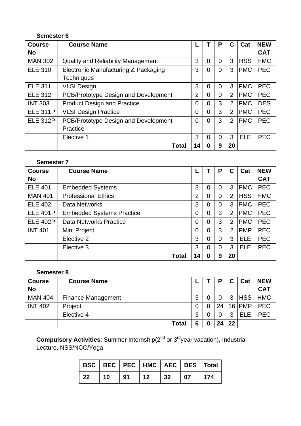# **Semester 6**

| <b>Course</b>   | <b>Course Name</b>                        |                |                | P        | С              | Cat        | <b>NEW</b> |
|-----------------|-------------------------------------------|----------------|----------------|----------|----------------|------------|------------|
| <b>No</b>       |                                           |                |                |          |                |            | <b>CAT</b> |
| <b>MAN 302</b>  | <b>Quality and Reliability Management</b> | 3              | $\Omega$       | 0        | 3              | <b>HSS</b> | <b>HMC</b> |
| <b>ELE 310</b>  | Electronic Manufacturing & Packaging      | 3              | $\overline{0}$ | $\Omega$ | 3              | <b>PMC</b> | <b>PEC</b> |
|                 | <b>Techniques</b>                         |                |                |          |                |            |            |
| <b>ELE 311</b>  | <b>VLSI Design</b>                        | 3              | $\overline{0}$ | $\Omega$ | 3              | <b>PMC</b> | <b>PEC</b> |
| <b>ELE 312</b>  | PCB/Prototype Design and Development      | $\overline{2}$ | $\overline{0}$ | 0        | $\overline{2}$ | <b>PMC</b> | <b>PEC</b> |
| <b>INT 303</b>  | <b>Product Design and Practice</b>        | $\overline{0}$ | 0              | 3        | $\overline{2}$ | <b>PMC</b> | <b>DES</b> |
| <b>ELE 311P</b> | <b>VLSI Design Practice</b>               | $\overline{0}$ | 0              | 3        | $\overline{2}$ | <b>PMC</b> | <b>PEC</b> |
| <b>ELE 312P</b> | PCB/Prototype Design and Development      | $\overline{0}$ | $\overline{0}$ | 3        | $\overline{2}$ | <b>PMC</b> | <b>PEC</b> |
|                 | Practice                                  |                |                |          |                |            |            |
|                 | Elective 1                                | 3              | 0              | 0        | 3              | <b>ELE</b> | <b>PEC</b> |
|                 | Total                                     | 14             | 0              | 9        | 20             |            |            |

# **Semester 7**

| <b>Course</b>   | <b>Course Name</b>               |                | T              | P | С              | Cat        | <b>NEW</b> |
|-----------------|----------------------------------|----------------|----------------|---|----------------|------------|------------|
| <b>No</b>       |                                  |                |                |   |                |            | <b>CAT</b> |
| <b>ELE 401</b>  | <b>Embedded Systems</b>          | 3              | 0              | 0 | 3              | <b>PMC</b> | <b>PEC</b> |
| <b>MAN 401</b>  | <b>Professional Ethics</b>       | $\overline{2}$ | 0              | 0 | $\overline{2}$ | <b>HSS</b> | <b>HMC</b> |
| <b>ELE 402</b>  | Data Networks                    | 3              | 0              | 0 | 3              | <b>PMC</b> | <b>PEC</b> |
| <b>ELE 401P</b> | <b>Embedded Systems Practice</b> | 0              | $\overline{0}$ | 3 | $\overline{2}$ | <b>PMC</b> | <b>PEC</b> |
| <b>ELE 402P</b> | Data Networks Practice           | $\Omega$       | 0              | 3 | $\overline{2}$ | <b>PMC</b> | <b>PEC</b> |
| <b>INT 401</b>  | Mini Project                     | 0              | 0              | 3 | $\overline{2}$ | <b>PMP</b> | <b>PEC</b> |
|                 | Elective 2                       | 3              | 0              | 0 | 3              | <b>ELE</b> | <b>PEC</b> |
|                 | Elective 3                       | 3              | 0              | 0 | 3              | <b>ELE</b> | <b>PEC</b> |
|                 | <b>Total</b>                     | 14             | 0              | 9 | 20             |            |            |

# **Semester 8**

| <b>Course</b>  | <b>Course Name</b>        |        |   | P              | C  | Cat        | <b>NEW</b> |
|----------------|---------------------------|--------|---|----------------|----|------------|------------|
| <b>No</b>      |                           |        |   |                |    |            | <b>CAT</b> |
| <b>MAN 404</b> | <b>Finance Management</b> | ◠<br>ت |   | $\overline{0}$ | 3  | <b>HSS</b> | <b>HMC</b> |
| <b>INT 402</b> | Project                   | 0      |   | 24             |    | 16 PMP     | <b>PEC</b> |
|                | Elective 4                | 3      |   | 0              | 3  | <b>ELE</b> | <b>PEC</b> |
|                | <b>Total</b>              | 6      | 0 | 24             | 22 |            |            |

**Compulsory Activities**: Summer Internship(2<sup>nd</sup> or 3<sup>rd</sup>year vacation), Industrial Lecture, NSS/NCC/Yoga

|             |            |    |            |    |            | BSC   BEC   PEC   HMC   AEC   DES   Total |
|-------------|------------|----|------------|----|------------|-------------------------------------------|
| $\sqrt{22}$ | $\vert$ 10 | 91 | $\vert$ 12 | 32 | $\vert$ 07 | 174                                       |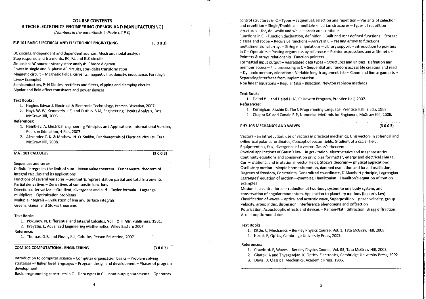# **COURSE CONTENTS**

# **B TECH ELECTRONICS ENGINEERING (DESIGN AND MANUFACTURING)**

(Numbers in the parenthesis indicate LTPC)

#### ELE 101 BASIC ELECTRICAL AND ELECTRONICS ENGINEERING

DC circuits, Independent and dependent sources, Mesh and nodal analysis Step response and transients, RC, RL and RLC circuits

Sinusoidal AC sources steady state analysis, Phasor diagram

Power in single and 3-phase AC circuits, star-delta transformation

Magnetic circuit - Magnetic fields, currents, magnetic flux density, inductance, Faraday's Laws-Examples

Semiconductors, P-N Diodes, rectifiers and filters, clipping and clamping circuits Bipolar and field effect transistors and power devices

# **Text Books:**

- 1. Hughes Edward, Electrical & Electronic Technology, Pearson Education, 2007.
- 2. Hayt. W. W, Kemmerly. J.E, and Durbin. S.M, Engineering Circuits Analysis, Tata McGraw Hill. 2008.

# References:

- 1. Hambley. A, Electrical Engineering Principles and Applications: International Version, Pearson Education, 4 Edn. 2007.
- 2. Alexander.C. K. & Mathew. N. O. Sadiku, Fundamentals of Electrical circuits. Tata McGraw Hill, 2008.

# MAT 101 CALCULUS

 $(3003)$ 

 $(3003)$ 

Sequences and series

Definite integral as the limit of sum - Mean value theorem - Fundamental theorem of integral calculus and its applications

Functions of several variables - Geometric representation partial and total increments Partial derivatives - Derivatives of composite functions

Directional derivatives - Gradient, divergence and curl - Taylor formula - Lagrange multipliers - Optimization problems

Multiple integrals - Evaluation of line and surface integrals

Greens, Gauss, and Stokes theorems

#### **Text Books:**

1. Piskunov. N, Differential and Integral Calculus, Vol. I & II, Mir. Publishers, 1981.

2. Kreyszig, E. Advanced Engineering Mathematics, Wiley Eastern 2007. Reference:

1. Thomas. G.B, and Finney R.L. Calculus, Person Education, 2007.

# **COM 102 COMPUTATIONAL ENGINEERING**

 $(3003)$ 

Introduction to computer science - Computer organization basics - Problem solving strategies - Higher level languages - Program design and development - Phases of program development

Basic programming constructs in  $C -$ Data types in  $C -$ Input output statements  $-$  Operators

control structures in C-Types-Sequential, selection and repetition - Variants of selection and repetition – Single/Double and multiple selection structures  $-$  Types of repetition structures - for, do-while and while - break and continue

Functions in  $C \sim$  Function declaration, definition – Built and user defined functions – Storage classes and scope - Recursive functions - Arrays in C - Passing arrays to functions multidimensional arrays - String manipulations -- Library support -- Introduction to pointers in  $C$  – Operators – Passing arguments by reference – Pointer expressions and arithmetic – Pointers & arrays relationship-Function pointers

Formatted input output - Aggregated data types - Structures and unions-- Definition and member access  $-$  File processing in  $C -$  Sequential and random access file creation and read - Dynamic memory allocation -- Variable length argument lists -- Command line arguments --Separating interfaces from implementation

Non linear equations - Regular falsi - Bisection, Newton raphson methods

# **Text Book:**

1. Deitel P.J, and Deitel H.M. C: How to Program, Prentice Hall, 2007.

# References:

- 1. Kernighan, Ritchie D, The C Programming Language, Prentice Hall, 2 Edn, 1988.
- 2. Chapra S.C and Canale R.P. Numerical Methods for Engineers, McGraw Hill, 2006.

# PHY 105 MECHANICS AND WAVES

 $(3003)$ 

Vectors - an introduction, use of vectors in practical mechanics, Unit vectors in spherical and cylindrical polar co-ordinates, Concept of vector fields, Gradient of a scalar field, Equipotentials, flux, divergence of a vector, Gauss's theorem

Physical applications of Gauss's law-in gravitation, electrostatics and magnetostatics, Continuity equations and conservation principles for matter, energy and electrical charge, Curl-rotational and irrotational vector fields. Stoke's theorem- physical applications Oscillatory motion-simple harmonic motion, damped oscillation and forced oscillation, Degrees of freedom, Constraints, Generalized co-ordinate, D'Alambert principle, Lagrangian Lagranges' equation of motion-examples, Hamiltonian-Hamilton's equation of motion examples

Motion in a central force -- reduction of two-body system to one body system, and conservation of angular momentum, Application to planetary motions (Kepler's law) Classification of waves -- optical and acoustic wave, Superposition -- phase velocity, group velocity, group index, dispersion, Interference phenomena and Diffraction Polarization, Acoustooptic effects and devices -- Raman-Nath diffraction, Bragg diffraction, Acoustooptic modulator

#### **Text Books:**

- 1. Kittle. C, Mechanics Berkley Physics Course, Vol. 1, Tata McGraw Hill, 2008.
- 2. Hecht. E, Optics, Cambridge University Press, 2002.

#### References:

- 1. Crawford, F. Waves Berkley Physics Course, Vol. 03, Tata McGraw Hill, 2008.
- 2. Ghatak. A and Thyagarajan. K, Optical Electronics, Cambridge University Press, 2002.
- 3. Davis. D, Classical Mechanics, Academic Press, 1986.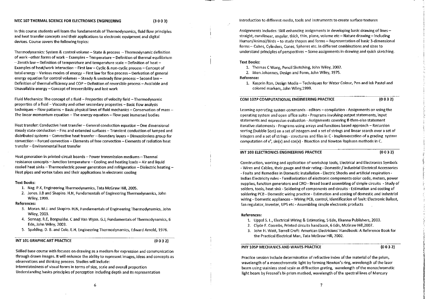In this course students will learn the fundamentals of Thermodynamics, fluid flow principles and heat transfer concepts and their applications to electronic equipment and digital devices. Course covers the following topics:

Thermodynamics: System & control volume - State & process - Thermodynamic definition of work-other forms of work - Examples - Temperature - Definition of thermal equilibrium -Zeroth law - Definition of temperature and temperature scale - Definition of heat -Examples of heat/work interaction -- First law -- Cyclic & non-cyclic process -- Concept of total energy - Various modes of energy - First law for floe process - Derivation of general energy equation for control volumes - Steady & unsteady flow process - Second law -Definition of thermal efficiency and COP - Definition of reversible process - Available and Unavailable energy - Concept of irreversibility and lost work

Fluid Mechanics: The concept of a fluid  $\sim$  Properties of velocity field  $-$  Thermodynamic properties of a fluid - Viscosity and other secondary properties - Basic flow analysis techniques – Flow patterns – Basic physical laws of fluid mechanics – Conservation of mass – The linear momentum equation - The energy equation - Flow past immersed bodies

Heat transfer: Conductive heat transfer - General conduction equation - One dimensional steady state conduction -- Fins and extended surfaces -- Transient conduction of lumped and distributed systems -- Convective heat transfer -- Boundary layers -- Dimensionless group for convection - Forced convection - Elements of free convection - Elements of radiation heat transfer - Environmental heat transfer

Heat generation in printed-circuit boards - Power transmission mediums - Thermal resistance concepts -- Junction temperature -- Cooling and heating loads -- Air and liquid cooled heat sinks - Thermoelectric power generation and refrigeration - Dielectric heating -Heat pipes and vortex tubes and their applications in electronic cooling

#### **Text Books:**

- 1. Nag. P.K. Engineering Thermodynamics, Tata McGraw Hill. 2005.
- 2. Jones, J.B and Shapiro, H.N. Fundamentals of Engineering Thermodynamics, John Wiley, 1999.

# **References:**

- 3. Moran, M.J. and Shapiro. H.N, Fundamentals of Engineering Thermodynamics, John Wiley, 2003.
- 4. Sonnag. R.E. Borgnakke. C and Van Wyan. G.J. Fundamentals of Thermodynamics, 6 Edn, John Wiley, 2003.
- 5. Spalding, D. B. and Cole, E.H. Engineering Thermodynamics, Edward Arnold, 1976.

# INT 101 GRAPHIC ART PRACTICE

 $(0032)$ 

Skilled base course with focuses on drawing as a medium for expression and communication through drawn images. It will enhance the ability to represent images, ideas and concepts as observations and thinking process. Studies will include:

Interrelatedness of visual forms in terms of size, scale and overall proportion Understanding basics principles of perception including depth and its representation Introduction to different media, tools and instruments to create surface textures

Assignments includes: Skill enhancing assignments in developing basic drawing of lines straight, curvilinear, angular, thick, thin, plane, volume etc - Nature drawing - including Human/Animal/Birds - to study shapes and forms - Representation of basic 3-dimensional forms - Cubes, Cylinders, Cones, Spheres etc. in different combinations and sizes to understand principles of perspectives - Some assignments in drawing and quick sketching.

#### **Text Books:**

- 1. Thomas C Wang, Pencil Sketching, John Wiley, 2002.
- 2. Itten Johannes, Design and Form, John Wiley, 1975.

Reference:

1. Kasprin Ron, Design Media - Techniques for Water Colour, Pen and Ink Pastel and colored markers, John Wiley, 1999.

COM 102P COMPUTATIONAL ENGINEERING PRACTICE

 $(0032)$ 

Learning operating system commands - editors - compilation - Assignments on using the operating system and open office suite - Programs involving output statements, input statements and expression evaluation - Assignments covering If-then-else statement iterative statements - Programs using arrays and functions based approach - Recursion sorting (bubble Sort) on a set of integers and a set of strings and linear search over a set of integers and a set of strings - structures and files in C - Implementation of a grading system computation of  $e^x$ , sin(x) and cos(x) - Bisection and Newton Raphson methods in C.

# INT 103 ELECTRONICS ENGINEERING PRACTICE

 $(0032)$ 

Construction, working and application of workshop tools, Electrical and Electronics Symbols - Wires and Cables, their gauge and their rating - Domestic / Industrial Electrical Accessories - Faults and Remedies in Domestic installation - Electric Shocks and artificial respiration -Indian Electricity rules - Familiarization of electronic components color code, meters, power supplies, function generators and CRO - Bread board assembling of simple circuits - Study of solders, tools, heat sink - Soldering of components and circuits - Estimation and costing of soldering PCB - Domestic wiring practice - Estimation and costing of domestic and industrial wiring - Domestic appliances - Wiring PCB, control, Identification of fault: Electronic Ballast, fan regulator, inverter, UPS etc - Assembling simple electronic products

#### **References:**

- 1. Uppal S. L., Electrical Wiring & Estimating, 5 Edn, Khanna Publishers, 2003.
- 2. Civde F. Coombs, Printed circuits handbook, 6 Edn, McGraw Hill, 2007.
- 3. John H. Watt, Terrell Croft: American Electricians' Handbook: A Reference Book for the Practical Electrical Man, Tata McGraw Hill, 2002.

PHY 105P MECHANICS AND WAVES PRACTICE

 $(0032)$ 

Practice session include determination of refractive index of the material of the prism, wavelength of a monochromatic light by forming Newton's ring, wavelength of the laser beam using stainless steel scale as diffraction grating, wavelength of the monochromatic light beam by Fresnel's bi-prism method, wavelength of the spectral lines of Mercury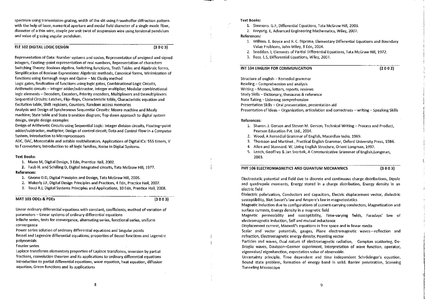spectrum using transmission grating, width of the slit using Fraunhoffer diffraction pattern with the help of laser, numerical aperture and modal field diameter of a single mode fiber. diameter of a thin wire, couple per unit twist of suspension wire using torsional pendulum and value of g using angular pendulum.

# ELE 102 DIGITAL LOGIC DESIGN

 $(3003)$ 

Representation of Data: Number systems and codes, Representation of unsigned and signed integers. Floating-point representation of real numbers. Representation of characters Switching Theory: Boolean algebra, Switching functions, Truth Tables and Algebraic forms, Simplification of Boolean Expressions: Algebraic methods, Canonical forms, Minimization of functions using Karnaugh maps and Quine - Mc Clusky method

Logic gates, Realization of functions using logic gates, Combinational Logic Circuits. Arithmetic circuits - Integer adder/subtractor, Integer multiplier; Modular combinational logic elements - Decoders, Encoders, Priority encoders, Multiplexers and Demultiplexers Sequential Circuits: Latches, Flip-flops, Characteristic table, Characteristic equation and Excitation table. Shift registers, Counters, Random access memories

Analysis and Design of Synchronous Sequential Circuits: Moore machine and Mealy machine; State table and State transition diagram; Top down approach to digital system design, simple design examples

Design of Arithmetic Circuits using Sequential Logic: Integer division circuits, Floating-point adder/subtractor, multiplier; Design of control circuit; Data and Control Flow in a Computer System, Introduction to Microprocessors

ADC, DAC, Monostable and astable multivibrators, Applications of Digital ICs: 555 timers, V to f converters; Introduction to all logic families. Noise in Digital Systems.

#### **Text Books:**

1. Mano M, Digital Design, 3 Edn. Prentice Hall. 2002.

2. Taub H. and Schilling D. Digital Integrated circuits. Tata McGraw Hill. 1977. **References:** 

1. Givone D.D, Digital Principles and Design, Tata McGraw Hill, 2005.

2. Wakerly J.F, Digital Design Principles and Practices, 4 Edn, Practice Hall, 2007.

3. Tocci R.J, Digital Systems Principles and Applications, 10 Edn, Prentice Hall, 2008.

MAT 103 ODEs & PDEs

 $(3003)$ 

Linear ordinary differential equations with constant, coefficients, method of variation of parameters - Linear systems of ordinary differential equations

Infinite series, tests for convergence, alternating series, functional series, uniform convergence

Power series solution of ordinary differential equations and Singular points

Bessel and Legendre differential equations; properties of Bessel functions and Legendre polynomials

Fourier series

Laplace transforms elementary properties of Laplace transforms, inversion by partial fractions, convolution theorem and its applications to ordinary differential equations Introduction to partial differential equations, wave equation, heat equation, diffusion equation, Green functions and its applications

# Text Books:

1. Simmons. G.F, Differential Equations, Tata McGraw Hill, 2003.

2. Kreyszig. E. Advanced Engineering Mathematics, Wiley, 2007.

# **References:**

- 1. William, E. Boyce and R. C. Diprima, Elementary Differential Equations and Boundary Value Problems, John Wiley, 8 Edn, 2004.
- 2. Sneddon. I, Elements of Partial Differential Equations, Tata McGraw Hill, 1972.
- 3. Ross. L.S. Differential Equations, Wiley, 2007.

# INT 104 ENGLISH FOR COMMUNICATION

 $(2002)$ 

Structure of english - Remedial grammar Reading - Comprehension and analysis Writing - Memos, letters, reports, reviews Study Skills - Dictionary, thesaurus & reference Note Taking - Listening comprehension Presentation Skills - Oral presentation, presentation aid Presentation of Ideas - Organization, articulation and correctness - writing - Speaking Skills

#### References:

- 1. Sharon, J. Gerson and Steven M. Gerson, Technical Writing Process and Product, Pearson Education Pvt. Ltd., 2004.
- 2. Wood, A Remedial Grammar of English, Macmillan India, 1969.
- 3. Thomson and Martinet . Practical English Grammar, Oxford University Press, 1986.
- 4. Allen and Stannard. W. Living English Structure. Orient Longman, 1997.
- 5. Leech, Geoffrey & Jan Svartvik, A Communicative Grammar of English, Longman, 2003.

# PHY 106 ELECTROMAGNETICS AND OUANTUM MECHANNICS

 $(3003)$ 

Electrostatic potential and field due to discrete and continuous charge distributions, Dipole and quadrupole moments. Energy stored in a charge distribution. Energy density in an electric field

Dielectric polarization, Conductors and capacitors, Electric displacement vector, dielectric susceptibility, Biot-Savart's law and Ampere's law in magnetostatics

Magnetic induction due to configurations of current-carrying conductors. Magnetization and surface currents, Energy density in a magnetic field

Magnetic permeability and susceptibility, Time-varying fields, Faradays' law of electromagnetic induction, Self and mutual inductance

Displacement current, Maxwell's equations in free space and in linear media

Scalar and vector potentials, gauges. Plane electromagnetic waves-reflection and refraction, Electromagnetic energy density, Poynting vector

Particles and waves, Dual nature of electromagnetic radiation, Compton scattering, De-Broglie waves, Davisson-Germer experiment, interpretation of wave function, operator, eigenvalue/eigenfunction, expectation value of observable.

Uncertainty principle. Time dependent and time independent Schrödinger's equation. Bound state problem, formation of energy band in solid. Barrier penetration, Scanning **Tunneling Microscope**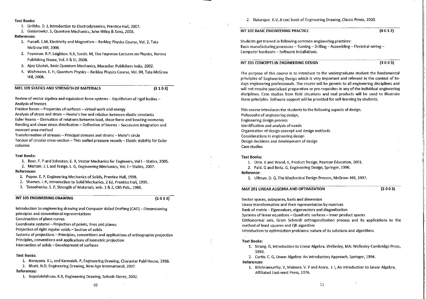### **Text Books:**

- 1. Grifiths. D. J, Introduction to Electrodynamics, Prentice Hall. 2007.
- 2. Gasiorowicz. S, Quantum Mechanics, John Wiley & Sons, 2003.

**References:** 

- 1. Purcell. E.M. Electricity and Magnetism Berkley Physics Course, Vol. 2, Tata McGraw Hill. 2008.
- 2. Feynman. R.P, Leighton. R.B, Sands. M, The Feynman Lectures on Physics, Narosa Publishing House, Vol. II & III, 2008.
- 3. Ajoy Ghatak, Basic Quantum Mechanics, Macmilan Publishers India, 2002.
- 4. Wichmann. E. H. Quantum Physics Berkley Physics Course. Vol. 04. Tata McGraw Hill. 2008.
- MEC 109 STATICS AND STRENGTH OF MATERIALS

 $(3104)$ 

Review of vector algebra and equivalent force systems -- Equilibrium of rigid bodies --Analysis of trusses

Friction forces - Properties of surfaces - virtual work and energy

Analysis of stress and strain - Hooke's law and relation between elastic constants Euler Beams -- Derivation of relations between load, shear force and bending moments Bending and shear stress distribution - Deflection of beams - Successive integration and moment area method

Transformation of stresses -- Principal stresses and strains -- Mohr's circle

Torsion of circular cross-section -- Thin walled pressure vessels -- Elastic stability for Euler columns

# **Text Books:**

1. Beer. F. P and Johnston. E. R. Vector Mechanics for Engineers. Vol I - Statics. 2005.

2. Meriam, J. L and Kraige. L. G. Engineering Mechanics, Vol. 1 - Statics, 2007.

### **References:**

1. Popov. E. P, Engineering Mechanics of Solids, Prentice Hall, 1998.

2. Shames. I. H, Introduction to Solid Mechanics, 2 Ed, Prentice Hall, 1999.

3. Timoshenko, S. P. Strength of Materials, vols. 1 & 2, CBS Pub., 1986.

#### INT 105 ENGINEERING DRAWING

 $(1033)$ 

Introduction to engineering drawing and Computer Aided Drafting (CAD) - Dimensioning principles and conventional representations Construction of plane curves

Coordinate systems - Projection of points, lines and planes

Projection of right regular solids - Section of solids

Systems of projections - Principles, conventions and applications of orthographic projection

Principles, conventions and applications of isometric projection

Intersection of solids - Development of surfaces

# **Text Books:**

1. Narayana. K.L. and Kannaiah. P. Engineering Drawing, Charaotar Publ House, 1998.

2. Bhatt. N.D, Engineering Drawing, New Age International, 2007.

# **References:**

1. Gopalakrishnan. K.R, Engineering Drawing, Subash Stores, 2002.

#### INT 102 BASIC ENGINEERING PRACTICE

 $(0 0 3 2)$ 

Students get trained in following common engineering practices: Basic manufacturing processes - Turning - Drilling - Assembling - Electrical wiring -Computer hardware - Software installations.

# INT 201 CONCEPTS IN ENGINEERING DESIGN

 $(3003)$ 

The purpose of this course is to introduce to the undergraduate student the fundamental principles of Engineering Design which is very important and relevant in the context of todays engineering professionals. The course will be generic to all engineering disciplines and will not require specialized preparation or pre-requisites in any of the individual engineering disciplines. Case studies from field situations and real products will be used to illustrate these principles. Software support will be provided for self-learning by students.

This course introduces the students to the following aspects of design. Philosophy of engineering design, Engineering design process Identification and analysis of needs Organization of design concept and design methods Considerations in engineering design Design decisions and development of design **Case studies** 

#### **Text Books:**

- 1. Otto. K and Wood, K, Product Design, Pearson Education, 2001.
- 2. Pahl. G and Beitz. G. Engineering Design, Springer, 1996.

# Reference:

1. Ullman, D. G, The Mechanical Design Process, McGraw-Hill, 1997.

MAT 201 LINEAR ALGEBRA AND OPTIMIZATION

 $(3003)$ 

Vector spaces, subspaces, basis and dimension Linear transformation and their representation by matrices Rank of matrix - Eigenvalues, eigenvectors and diagonlization Systems of linear equations - Quadratic surfaces - Inner product spaces Orthonormal sets, Gram Schmidt orthogonalization process and its applications to the method of least squares and QR algorithm Introduction to optimization problems: nature of its solutions and algorithms

#### **Text Books:**

- 1. Strang. G, Introduction to Linear Algebra. Wellesley, MA: Wellesley-Cambridge Press, 1993.
- 2. Curtis. C. G. Linear Algebra: An Introductory Approach, Springer, 1994.

References:

1. Krishnamurthy. V, Mainara. V. P and Arora. J. I, An Introduction to Linear Algebra. Affiliated East-west Press, 1976.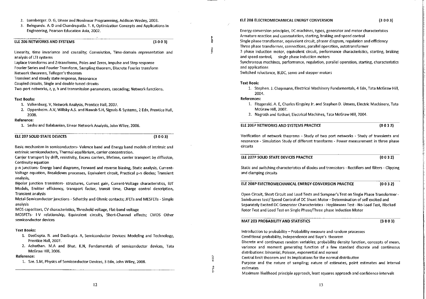- 2. Luenberger, D. G. Linear and Nonlinear Programming, Addison Wesley, 2003.
- 3. Belegundu. A. D and Chandrupatla. T. R. Optimization Concepts and Applications in Engineering, Pearson Education Asia, 2002.

### ELE 206 NETWORKS AND SYSTEMS

Linearity, time invariance and causality; Convolution, Time-domain representation and analysis of LTI systems

Laplace transforms and Z-transforms, Poles and Zeros, Impulse and Step response Fourier Series and Fourier Transform, Sampling theorem, Discrete Fourier transform

Network theorems. Tellegen's theorem

Transient and steady state response, Resonance

Coupled circuits, Single and double tuned circuits

Two-port networks, z, y, h and transmission parameters, cascading: Network functions,

# **Text Books:**

- 1. Valkenburg, V, Network Analysis, Prentice Hall, 2007.
- 2. Oppenheim. A.V, Willsky A.S. and Nawab S.H, Signals & Systems, 2 Edn, Prentice Hall, 2008.

#### Reference:

1. Seshu and Balabanian, Linear Network Analysis, John Wiley, 2006.

# ELE 207 SOLID STATE DEVICES

 $(3003)$ 

 $(3003)$ 

Basic mechanism in semiconductors- Valence band and Energy band models of intrinsic and extrinsic semiconductors, Thermal equilibrium, carrier concentration.

Carrier transport by drift, resistivity, Excess carriers, lifetime, carrier transport by diffusion. Continuity equation

p-n junctions- Energy band diagrams, Forward and reverse biasing, Static analysis, Current-Voltage equation, Breakdown processes, Equivalent circuit, Practical p-n diodes: Transient analysis,

Bipolar junction transistors- structures, Current gain, Current-Voltage characteristics, BJT Models, Emitter efficiency, transport factor, transit time, Charge control description, **Transient analysis** 

Metal-Semiconductor junctions - Schottky and Ohmic contacts; JFETs and MESFETs - Simple analysis

MOS capacitors, CV characteristics, Threshold voltage, Flat-band voltage

MOSFETs- I-V relationship, Equivalent circuits, Short-Channel effects: CMOS Other semiconductor devices

# **Text Books:**

- 1. DasGupta. N. and DasGupta. A, Semiconductor Devices: Modeling and Technology, Prentice Hall, 2007.
- 2. Achuthan, M.A and Bhat, K.N. Fundamentals of semiconductor devices. Tata McGraw Hill, 2006.

#### Reference:

1. Sze. S.M, Physics of Semiconductor Devices, 3 Edn, John Wiley, 2008.

# ELE 208 ELECTROMECHANICAL ENERGY CONVERSION

Energy conversion principles, DC machines, types, generator and motor characteristics Armature reaction and commutation, starting, braking and speed control Single phase transformer, equivalent circuit, phasor diagram, regulation and efficiency

Three phase transformer, connections, parallel operation, autotransformer

3 phase induction motor, equivalent circuit, performance characteristics, starting, braking and speed control, single phase induction motors

Synchronous machines, performance, regulation, parallel operation, starting, characteristics and applications

Switched reluctance, BLDC, servo and stepper motors

# Text Book:

1. Stephen. J. Chapmann, Electrical Machinery Fundamentals, 4 Edn, Tata McGraw Hill, 2004.

# **References:**

- 1. Fitzgerald. A. E. Charles Kingsley Jr. and Stephen D. Umans, Electric Machinery, Tata McGraw Hill, 2007.
- 2. Nagrath and Kothari, Electrical Machines, Tata McGraw Hill, 2004.

# ELE 206P NETWORKS AND SYSTEMS PRACTICE

 $(0.03.2)$ 

Verification of network theorems - Study of two port networks - Study of transients and resonance - Simulation Study of different transforms - Power measurement in three phase circuits

ELE 207P SOLID STATE DEVICES PRACTICE

 $(0 0 3 2)$ 

Static and switching characteristics of diodes and transistors - Rectifiers and filters - Clipping and clamping circuits

ELE 208P ELECTROMECHANICAL ENERGY CONVERSION PRACTICE

 $(0032)$ 

Open Circuit, Short Circuit and Load Tests and Sumpner's Test on Single Phase Transformer -Swinburnes test/ Speed Control of DC Shunt Motor - Determination of self excited and Separately Excited DC Generator Characteristics - Hopkinsons Test - No-Load Test, Blocked Rotor Test and Load Test on Single Phase/Three phase Induction Motor

MAT 203 PROBABILITY AND STATISTICS

 $(3003)$ 

Introduction to probability - Probability measure and random processes Conditional probability, independence and Baye's theorem

Discrete and continuous random variables; probability density function, concepts of mean, variance and moment generating function of a few standard discrete and continuous distributions: binomial, Poisson, exponential and normal

Central limit theorem and its implications for the normal distribution

Purpose and the nature of sampling; nature of estimates, point estimates and interval estimates

Maximum likelihood principle approach, least squares approach and confidence intervals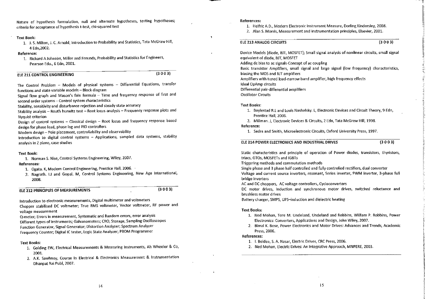Nature of hypothesis formulation, null and alternate hypotheses, testing hypotheses; criteria for acceptance of hypothesis t-test, chi-squared test

# **Text Book:**

1. J. S. Milton, J. C. Arnold, Introduction to Probability and Statistics, Tata McGraw Hill, 4 Edn. 2002.

#### Reference:

1. Richard A Johnson, Miller and Freunds, Probability and Statistics for Engineers, Pearson Edu., 6 Edn, 2001.

# **ELE 211 CONTROL ENGINEERING**

 $(3003)$ 

The Control Problem - Models of physical systems - Differential Equations, transfer functions and state variable models -- Block diagram

Signal flow graph and Mason's fain formula - Time and frequency response of first and second order systems - Control system characteristics

Stability, sensitivity and disturbance rejection and steady state accuracy

Stability analysis - Routh hurwitz test - Root locus analysis - Frequency response plots and Nyquist criterion

Design of control systems - Classical design - Root locus and frequency response based design for phase lead, phase lag and PID controllers

Modern design - Pole placement, controllability and observability

Introduction to digital control systems -- Applications, sampled data systems, stability analysis in Z plane, case studies

#### **Text Book:**

1. Norman S. Nise, Control Systems Engineering, Wiley, 2007.

#### References:

- 1. Ogata. K, Modern Control Engineering, Prentice Hall, 2006.
- 2. Nagrath. I.J and Gopal. M. Control Systems Engineering, New Age International, 2008.

#### **ELE 212 PRINCIPLES OF MEASUREMENTS**

 $(3003)$ 

Introduction to electronic measurements, Digital multimeter and voltmeters Chopper stabilised DC voltmeter; True RMS voltmeter, Vector voltmeter, RF power and voltage measurement

Q-meter; Errors in measurement, Systematic and Random errors, error analysis Different types of instruments; Galvanometers; CRO, Storage, Sampling Oscilloscopes Function Generator, Signal Generator; Distortion Analyzer; Spectrum Analyzer Frequency Counter; Digital IC tester, Logic State Analyzer; PROM Programmer

### **Text Books:**

- 1. Golding EW, Electrical Measurements & Measuring Instruments, Ah Wheeler & Co, 2001.
- 2. A.K. Sawhney, Course In Electrical & Electronics Measurement & Instrumentation Dhanpat Rai Publ, 2007.

#### References:

1. Helfric A.D., Modern Electronic Instrument Measure, Dorling Kindersley, 2008.

2. Alan S. Morris, Measurement and instrumentation principles, Elsevier, 2001.

# ELE 213 ANALOG CIRCUITS

 $(3003)$ 

Device Models (diode, BJT, MOSFET); Small signal analysis of nonlinear circuits, small signal equivalent of diode, BJT, MOSFET Adding de bias to ac signals-Concept of ac coupling Basic transistor Amplifiers, small signal and large signal (low frequency) characteristics. biasing the MOS and BJT amplifiers Amplifiers with tuned load-narrow band amplifier, high frequency effects Ideal OpAmp circuits Differential pair-differential amplifiers **Oscillator Circuits** 

#### **Text Books:**

- 1. Boylestad R.L and Louis Nashelsky, L. Electronic Devices and Circuit Theory, 9 Edn, Prentice Hall. 2006.
- 2. Millman. J. Electronic Devices & Circuits, 2 Edn, Tata McGraw Hill, 1998. Reference:
	- 1. Sedra and Smith, Microelectronic Circuits, Oxford University Press, 1997.

ELE 214 POWER ELECTRONICS AND INDUSTRIAL DRIVES

 $(3003)$ 

Static characteristics and principle of operation of Power diodes, transistors, thyristors, triacs, GTOs, MOSFETs and IGBTs

Triggering methods and commutation methods

Single phase and 3 phase half controlled and fully controlled rectifiers, dual converter Voltage and current source inverters, resonant, Series inverter, PWM inverter, 3-phase full bridge inverters

AC and DC choppers. AC voltage controllers, Cycloconverters

DC motor drives, Induction and synchronous motor drives, switched reluctance and brushless motor drives

Battery charger, SMPS, UPS-induction and dielectric heating

#### **Text Books:**

- 1. Ned Mohan, Tore M. Undeland, Undeland and Robbins, William P. Robbins, Power Electronics: Converters, Applications and Design, John Wiley, 2007.
- 2. Bimal K. Bose, Power Electronics and Motor Drives: Advances and Trends, Academic Press. 2006.

# References:

- 1. I. Boldea, S. A. Nasar, Electric Drives, CRC Press, 2006.
- 2. Ned Mohan, Electric Drives: An Integrative Approach, MNPERE, 2003.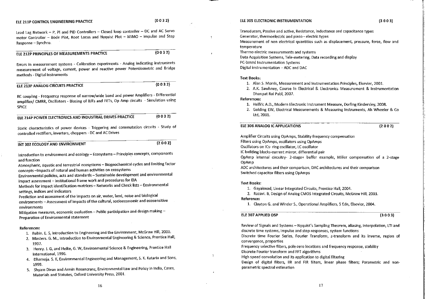# ELE 211P CONTROL ENGINEERING PRACTICE

Lead Lag Network - P, Pl and PID Controllers - Closed loop controller - DC and AC Servo motor Controller - Bode Plot, Root Locus and Nyquist Plot - MIMO - impulse and Step Response - Synchro.

# ELE 212P PRINCIPLES OF MEASUREMENTS PRACTICE

 $(0 0 3 2)$ 

Errors in measurement systems - Calibration experiments - Analog indicating instruments measurement of voltage, current, power and reactive power Potentiometric and Bridge methods - Digital Instruments

#### **FLE 213P ANALOG CIRCUITS PRACTICE**

 $(0032)$ 

RC coupling - Frequency response of narrow/wide band and power Amplifiers - Differential amplifier/ CMRR, Oscillators - Biasing of BJTs and FETs, Op Amp circuits - Simulation using **SPICE** 

ELE 214P POWER ELECTRONICS AND INDUSTRIAL DRIVES PRACTICE  $(0032)$ 

Static characteristics of power devices - Triggering and commutation circuits - Study of controlled rectifiers, inverters, choppers - DC and AC Drives

#### $(2002)$ INT 302 ECOLOGY AND ENVIRONMENT

Introduction to environment and ecology - Ecosystems - Principles concepts, components and function

Atmospheric, aquatic and terrestrial ecosystems - Biogeochemical cycles and limiting factor concepts - Impacts of natural and human activities on ecosystems

Environmental policies, acts and standards - Sustainable development and environmental impact assessment - Institutional frame work and procedures for EIA

Methods for impact identification-matrices - Networks and Check lists - Environmental settings, indices and indicators

Prediction and assessment of the impacts on air, water, land, noise and biological

environments - Assessment of impacts of the cultural, socioeconomic and ecosensitive environments

Mitigation measures, economic evaluation -- Public participation and design making --Preparation of Environmental statement

#### **References:**

- 1. Rubin. E. S, Introduction to Engineering and the Environment, McGraw Hill, 2000.
- 2. Masters. G. M., Introduction to Environmental Engineering & Science, Prentice Hall, 1997.
- 3. Henry. J. G, and Helke, G. W, Environmental Science & Engineering, Prentice Hall International, 1996.
- 4. Dhameja. S. K, Environmental Engineering and Management, S. K. Kataria and Sons, 1999.
- 5. Shyam Divan and Armin Rosancranz, Environmental Law and Policy in India, Cases, Materials and Statutes, Oxford University Press, 2001.

#### ELE 305 ELECTRONIC INSTRUMENTATION

Transducers, Passive and active, Resistance, inductance and capacitance types Generator, thermoelectric and piezo - electric types Measurement of non electrical quantities such as displacement, pressure, force, flow and temperature Thermo electric measurements and systems Data Acquisition Systems, Tele-metering, Data recording and display

PC-based Instrumentation Systems

Digital instrumentation - ADC and DAC

#### **Text Books:**

- 1. Alan S. Morris, Measurement and Instrumentation Principles, Elsevier, 2001.
- 2. A.K. Sawhney, Course In Electrical & Electronics Measurement & Instrumentation Dhanpat Rai Publ. 2007.

#### References:

- 1. Helfric A.D., Modern Electronic Instrument Measure, Dorling Kindersley, 2008.
- 2. Golding EW, Electrical Measurements & Measuring Instruments, Ah Wheeler & Co. Ltd. 2001.

# ELE 306 ANALOG IC APPLICATIONS

 $(2002)$ 

Amplifier Circuits using OpAmps, Stability frequency compensation Filters using OpAmps, oscillators using OpAmps Oscillators on ICs- ring oscillator, LC oscillator IC building blocks-current mirror, differential pair OpAmp internal circuitry- 2-stage+ buffer example, Miller compensation of a 2-stage OpAmp

ADC architectures and their comparison, DAC architectures and their comparison Switched capacitor filters using OpAmps

#### **Text Books:**

- 1. Gavakwad, Linear Integrated Circuits, Prentice Hall, 2004.
- 2. Razavi. B, Design of Analog CMOS Integrated Circuits, McGraw Hill, 2003.

#### Reference:

1. Clayton G. and Winder S., Operational Amplifiers, 5 Edn, Elsevier, 2004.

# ELE 307 APPLIED DSP

 $(3003)$ 

Review of Signals and Systems - Nyquist's Sampling Theorem, aliasing, interpolation, LTI and discrete time systems, Impulse and step responses, system functions

Discrete time Fourier Series, Fourier Transform, z-transform and its inverse, region of convergence, properties

Frequency selective filters, pole-zero locations and frequency response, stability Discrete Fourier transform and FFT algorithms

High speed convolution and its application to digital filtering

Design of digital filters, IIR and FIR filters, linear phase filters; Parametric and nonparametric spectral estimation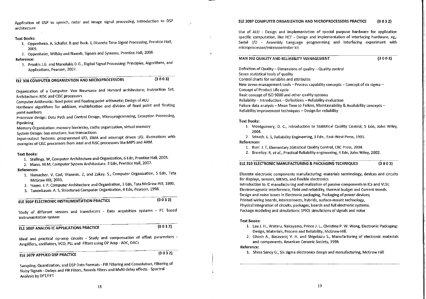Application of DSP to speech, radar and image signal processing, Introduction to DSP architecture

#### **Text Books:**

- 1. Oppenheim. A, Schafer. R and Buck. J. Discrete Time Signal Processing, Prentice Hall, 2009.
- 2. Oppenheim, Willsky and Nawab, Signals and Systems, Prentice Hall, 2008.

#### Reference:

1. Proakis J.G. and Manolakis D.G., Digital Signal Processing: Principles, Algorithms, and Applications, Pearson, 2007.

 $(3003)$ ELE 308 COMPUTER ORGANIZATION AND MICROPROCESSORS

Organization of a Computer: Von Neumann and Harvard architecture; Instruction Set, Architecture: RISC and CISC processors

Computer Arithmetic: fixed point and floating point arithmetic; Design of ALU

Hardware algorithms for addition, multiplication and division of fixed point and floating point numbers

Processor design: Data Path and Control Design, Microprogramming, Exception Processing, Pipelining

Memory Organization: memory hierarchy, cache organization, virtual memory System Design: bus structure, bus transactions

Input-output Systems: programmed I/O, DMA and interrupt driven I/O. Illustrations with examples of CISC processors from Intel and RISC processors like MIPS and ARM.

#### **Text Books:**

- 1. Stallings. W, Computer Architecture and Organization, 6 Edn, Prentice Hall, 2003.
- 2. Mano. M.M, Computer System Architecture, 3 Edn, Prentice Hall, 2007.

#### References:

- 1. Hamacher. V. Carl, Vranesic. Z, and Zakay. S., Computer Organization, 5 Edn, Tata McGraw Hill, 2001.
- 2. Hayes. J. P. Computer Architecture and Organization, 3 Edn, Tata McGraw Hill, 1999.
- 3. Tanenbaum. A. S, Structured Computer Organization, 4 Edn, Pearson, 1998.

# ELE 305P ELECTRONIC INSTRUMENTATION PRACTICE

 $(0032)$ 

Study of different sensors and transducers - Data acquisition systems - PC based instrumentation system

# ELE 306P ANALOG IC APPLICATIONS PRACTICE

Ideal and practical op-amp circuits - Study and compensation of offset parameters -Amplifiers, oscillators, VCO, PLL and Filters using OP Amp - ADC, DACs

# ELE 307P APPLIED DSP PRACTICE

 $(0032)$ 

 $(0032)$ 

Sampling, Quantization, and DSP Data Formats - FIR Filtering and Convolution, Filtering of Noisy Signals - Delays and FIR Filters, Reverb Filters and Multi-delay effects - Spectral Analysis by DFT/FFT

#### ELE 308P COMPUTER ORGANIZATION AND MICROPROCESSORS PRACTICE  $(0032)$

Use of ALU - Design and implementation of special purpose hardware for application specific computation, like HCF - Design and implementation of interfacing hardware, eg., Serial I/O - Assembly Language programming and interfacing experiment with microprocessor/microcontroller kit

#### MAN 302 QUALITY AND RELIABILITY MANAGEMENT

 $(3003)$ 

Definition of Quality - Dimensions of quality - Quality control Seven statistical tools of quality Control charts for variables and attributes New seven management tools - Process capability concepts - Concept of six sigma -Concept of Product Life cycle Basic concept of ISO 9000 and other quality systems Reliability - Introduction - Definitions - Reliability evaluation Failure data analysis - Mean Time to Failure, Maintainability & Availability concepts -Reliability improvement techniques - Design for reliability

# **Text Books:**

- 1. Montgomery, D. C., Introduction to Statistical Quality Control, 5 Edn, John Wiley, 2004.
- 2. Srinath, L. S. Reliability Engineering, 3 Edn., East-West Press, 1991.

# References:

- 1. Burr. J. T. Elementary Statistical Quality Control. CRC Press, 2004.
- 2. Bromley, R. et al., Practical Reliability engineering, 4 Edn, John Wiley, 2002.

ELE 310 ELECTRONIC MANUFACTURING & PACKAGING TECHNIQUES  $(3003)$ 

Discrete electronic components manufacturing: materials terminology, devices and circuits for displays, sensors, MEMS, and flexible electronics

Introduction to IC manufacturing and realization of passive components in ICs and VLSI; Electromagnetic interference, Yield and reliability, thermal budget and Current trends. Design and noise issues in Electronic packaging, Packaging of power devices; Printed wiring boards, interconnects, hybrids, surface-mount technology, Physical integration of circuits, packages, boards and full electronic systems. Package modeling and simulations: SPICE simulations of signals and noise

#### **Text Books:**

- 1. Lau J. H., Wataru, Nakayama, Prince J. L., Christine P. W. Wong, Electronic Packaging: Design, Materials, Process and Reliability, McGraw-Hill.
- 2. Ghosh A., Basavaraj V. H. and Shigekazu S., Manufacturing of electronic materials and components, American Ceramic Society, 1998

#### Reference:

1. Shina Sancy G., Six sigma electronics design and manufacturing, McGraw Hill.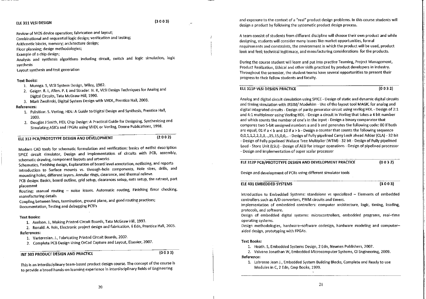# FLE 311 VLSI DESIGN

Review of MOS device operation; fabrication and layout;

Combinational and sequential logic design; verification and testing;

Arithmetic blocks, memory; architecture design;

Floor planning; design methodologies;

Example of a chip design;

Analysis and synthesis algorithms including circuit, switch and logic simulation, logic synthesis

Lavout synthesis and test generation

#### **Text Books:**

- 1. Muroga, S. VLSI System Design, Wiley, 1982.
- 2. Geiger. R. L. Allen. P. E and Strader. N. R. VLSI Design Techniques for Analog and Digital Circuits, Tata McGraw-Hill, 1990.
- 3. Mark Zwolinski, Digital System Design with VHDL, Prentice Hall, 2003.

#### **References:**

- 1. Palnitkar. S. Verilog, HDL: A Guide to Digital Design and Synthesis, Prentice Hall, 2003
- 2. Douglas J Smith, HDL Chip Design: A Practical Guide for Designing, Synthesizing and Simulating ASICs and FPGAs using VHDL or Verilog, Doone Publications, 1998.

# ELE 312 PCB/PROTOTYPE DESIGN AND DEVELOPMENT

 $(2002)$ 

Modern CAD tools for schematic formulation and verification: basics of netlist description SPICE circuit simulator, Design and implementation of circuits with PCB, assembly, schematic drawing, component layouts and artworks

Schematics, Finishing design, Explanation of board level annotation, netlisting, and reports Introduction to Surface mounts vs. through-hole components, Hole sizes, drills, and mounting holes, different layers. Annular rings, clearance, and thermal relieve.

PCB design: Basics, board outline, grid setup, clearances setup, nets setup, the ratnest, part placement

Routing: manual routing - noise issues. Automatic routing, Finishing Error checking, manufacturing details

Coupling between lines, termination, ground plane, and good routing practices; Documentation, Testing and debugging PCB's

#### **Text Books:**

1. Axelson. J., Making Printed Circuit Boards, Tata McGraw Hill, 1993.

2. Ronald. A. Reis, Electronic project design and fabrication, 6 Edn, Prentice Hall, 2005. References:

1. Varteresian. J., Fabricating Printed Circuit Boards, 2002.

2. Complete PCB Design Using OrCad Capture and Layout, Elsevier, 2007.

# INT 303 PRODUCT DESIGN AND PRACTICE

 $(0033)$ 

This is an interdisciplinary team-based product design course. The concept of the course is to provide a broad hands-on learning experience in interdisciplinary fields of Engineering

and exposure to the context of a "real" product design problems. In this course students will design a product by following the systematic product design process.

A team consist of students from different discipline will choose their own product and while designing, students will consider many issues like market opportunities, formal requirements and constraints, the environment in which the product will be used, product look and feel; technical legitimacy, and manufacturing considerations for the products.

During the course student will learn and put into practice Teaming, Project Management, Product Realization, Ethical and other skills practiced by product developers in industry. Throughout the semester, the student teams have several opportunities to present their progress to their fellow students and faculty.

# ELE 311P VLSI DESIGN PRACTICE

 $(0032)$ 

Analog and digital circuit simulation using SPICE - Design of static and dynamic digital circuits and timing simulation with IRSIM/ Modelsim - Use of the layout tool MAGIC for analog and digital integrated circuits - Design of parity generator circuit using verilog HDL - Design of 2:1 and 4:1 multiplexer using Verilog HDL - Design a circuit in Verilog that takes a 4 bit number and which counts the number of one's in the input - Design a binary comparator that compares two 5-bit unsigned numbers a and b and generates the following code: 00 if both are equal, 01 if  $a < b$  and 10 if  $a > b$  - Design a counter that counts the following sequence 0,0,1,1,2,2,3,3,..,15,15,0,0,.. - Design of Fully pipelined Carry Look ahead Adder (CLA) - 32 bit - Design of Fully pipelined Wallace Tree Multiplier (WTM) - 32 bit - Design of Fully pipelined Load - Store Unit (LSU) - Design of ALU for integer operations - Design of pipelined processor - Design and implementation of super scalar processor

# ELE 312P PCB/PROTOTYPE DESIGN AND DEVELOPMENT PRACTICE

Design and development of PCBs using different simulator tools

#### ELE 401 EMBEDDED SYSTEMS

 $(3003)$ 

 $(0 0 3 2)$ 

Introduction to Embedded Systems: standalone vs specialized - Elements of embedded controllers such as A/D converters, PWM circuits and timers.

Implementation of embedded controllers: computer architecture, logic, timing, loading, protocols, and software.

Design of embedded digital systems: microcontrollers, embedded programs, real-time operating systems.

Design methodologies, hardware-software codesign, hardware modeling and computeraided design, prototyping with FPGAs.

#### **Text Books:**

1. Heath. S, Embedded Systems Design, 2 Edn, Newnes Publishers, 2007.

2. Valvano Jonathan W, Embedded Microcomputer Systems, CI Engineering, 2009. Reference:

1. Labrosse Jean J., Embedded System Building Blocks, Complete and Ready to use Modules in C, 2 Edn, Cmp Books, 1999.